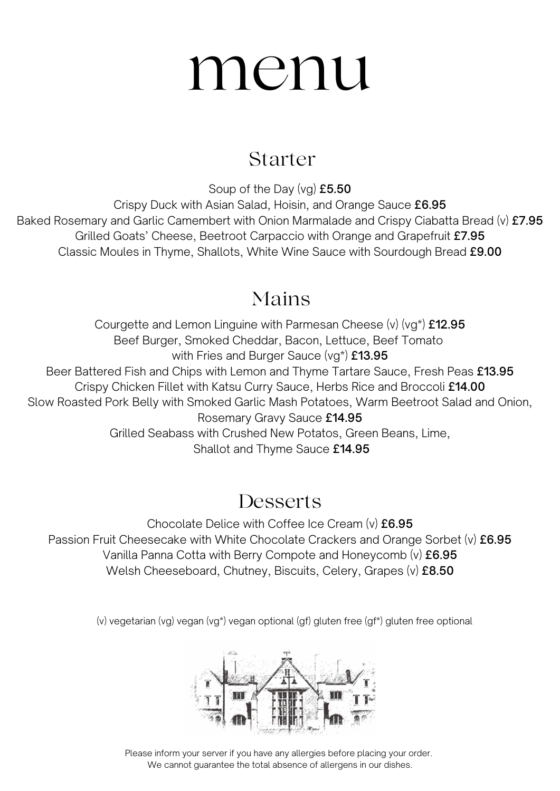## menu

#### Starter

Soup of the Day (vg) £5.50 Crispy Duck with Asian Salad, Hoisin, and Orange Sauce £6.95 Baked Rosemary and Garlic Camembert with Onion Marmalade and Crispy Ciabatta Bread (v) £7.95 Grilled Goats' Cheese, Beetroot Carpaccio with Orange and Grapefruit £7.95 Classic Moules in Thyme, Shallots, White Wine Sauce with Sourdough Bread £9.00

### Mains

Courgette and Lemon Linguine with Parmesan Cheese (v) (vg\*) £12.95 Beef Burger, Smoked Cheddar, Bacon, Lettuce, Beef Tomato with Fries and Burger Sauce (vg\*) £13.95 Beer Battered Fish and Chips with Lemon and Thyme Tartare Sauce, Fresh Peas £13.95 Crispy Chicken Fillet with Katsu Curry Sauce, Herbs Rice and Broccoli £14.00 Slow Roasted Pork Belly with Smoked Garlic Mash Potatoes, Warm Beetroot Salad and Onion, Rosemary Gravy Sauce £14.95 Grilled Seabass with Crushed New Potatos, Green Beans, Lime, Shallot and Thyme Sauce £14.95

### **Desserts**

Chocolate Delice with Coffee Ice Cream (v) £6.95 Passion Fruit Cheesecake with White Chocolate Crackers and Orange Sorbet (v) £6.95 Vanilla Panna Cotta with Berry Compote and Honeycomb (v) £6.95 Welsh Cheeseboard, Chutney, Biscuits, Celery, Grapes (v) £8.50

(v) vegetarian (vg) vegan (vg\*) vegan optional (gf) gluten free (gf\*) gluten free optional



Please inform your server if you have any allergies before placing your order. We cannot guarantee the total absence of allergens in our dishes.